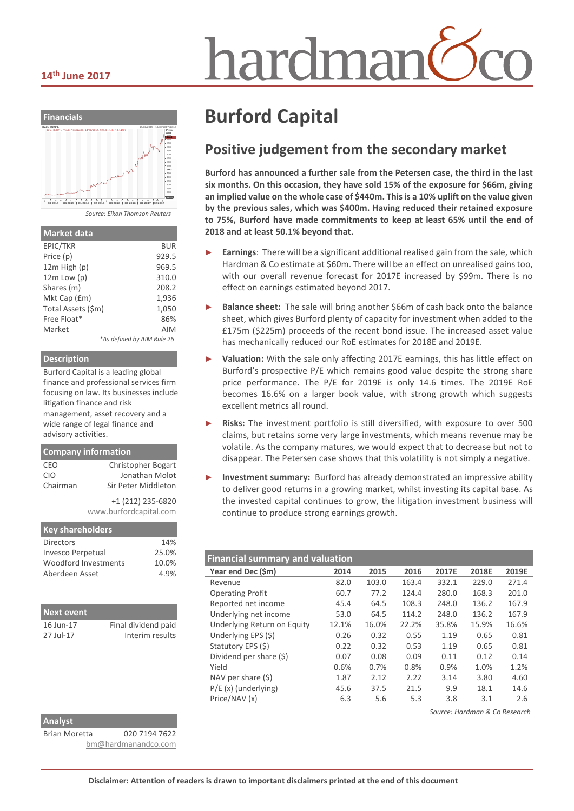# hardmar



| <b>Market data</b> |                            |
|--------------------|----------------------------|
| EPIC/TKR           | BUR                        |
| Price (p)          | 929.5                      |
| 12m High (p)       | 969.5                      |
| $12m$ Low $(p)$    | 310.0                      |
| Shares (m)         | 208.2                      |
| Mkt Cap (£m)       | 1,936                      |
| Total Assets (\$m) | 1,050                      |
| Free Float*        | 86%                        |
| Market             | AIM                        |
|                    | *As defined by AIM Rule 26 |

#### **Description**

Burford Capital is a leading global finance and professional services firm focusing on law. Its businesses include litigation finance and risk management, asset recovery and a wide range of legal finance and advisory activities.

| <b>Company information</b> |                           |  |  |  |
|----------------------------|---------------------------|--|--|--|
| CEO                        | <b>Christopher Bogart</b> |  |  |  |
| <b>CIO</b>                 | Jonathan Molot            |  |  |  |
| Chairman                   | Sir Peter Middleton       |  |  |  |
|                            | +1 (212) 235-6820         |  |  |  |
|                            | www.burfordcapital.com    |  |  |  |

| <b>Key shareholders</b> |       |
|-------------------------|-------|
| <b>Directors</b>        | 14%   |
| Invesco Perpetual       | 25.0% |
| Woodford Investments    | 10.0% |
| Aberdeen Asset          | 4.9%  |
|                         |       |

| <b>Next event</b> |                     |
|-------------------|---------------------|
| 16 Jun-17         | Final dividend paid |
| 27 Iul-17         | Interim results     |

#### **Analyst**

Brian Moretta 020 7194 7622 [bm@hardmanandco.com](mailto:bm@hardmanandco.com)

## **Burford Capital**

## **Positive judgement from the secondary market**

**Burford has announced a further sale from the Petersen case, the third in the last six months. On this occasion, they have sold 15% of the exposure for \$66m, giving an implied value on the whole case of \$440m. This is a 10% uplift on the value given by the previous sales, which was \$400m. Having reduced their retained exposure to 75%, Burford have made commitments to keep at least 65% until the end of 2018 and at least 50.1% beyond that.** 

- Earnings: There will be a significant additional realised gain from the sale, which Hardman & Co estimate at \$60m. There will be an effect on unrealised gains too, with our overall revenue forecast for 2017E increased by \$99m. There is no effect on earnings estimated beyond 2017.
- Balance sheet: The sale will bring another \$66m of cash back onto the balance sheet, which gives Burford plenty of capacity for investment when added to the £175m (\$225m) proceeds of the recent bond issue. The increased asset value has mechanically reduced our RoE estimates for 2018E and 2019E.
- Valuation: With the sale only affecting 2017E earnings, this has little effect on Burford's prospective P/E which remains good value despite the strong share price performance. The P/E for 2019E is only 14.6 times. The 2019E RoE becomes 16.6% on a larger book value, with strong growth which suggests excellent metrics all round.
- Risks: The investment portfolio is still diversified, with exposure to over 500 claims, but retains some very large investments, which means revenue may be volatile. As the company matures, we would expect that to decrease but not to disappear. The Petersen case shows that this volatility is not simply a negative.
- ► **Investment summary:** Burford has already demonstrated an impressive ability to deliver good returns in a growing market, whilst investing its capital base. As the invested capital continues to grow, the litigation investment business will continue to produce strong earnings growth.

| <b>Financial summary and valuation</b> |       |       |       |       |       |       |
|----------------------------------------|-------|-------|-------|-------|-------|-------|
| Year end Dec (\$m)                     | 2014  | 2015  | 2016  | 2017E | 2018E | 2019E |
| Revenue                                | 82.0  | 103.0 | 163.4 | 332.1 | 229.0 | 271.4 |
| <b>Operating Profit</b>                | 60.7  | 77.2  | 124.4 | 280.0 | 168.3 | 201.0 |
| Reported net income                    | 45.4  | 64.5  | 108.3 | 248.0 | 136.2 | 167.9 |
| Underlying net income                  | 53.0  | 64.5  | 114.2 | 248.0 | 136.2 | 167.9 |
| Underlying Return on Equity            | 12.1% | 16.0% | 22.2% | 35.8% | 15.9% | 16.6% |
| Underlying EPS (\$)                    | 0.26  | 0.32  | 0.55  | 1.19  | 0.65  | 0.81  |
| Statutory EPS (\$)                     | 0.22  | 0.32  | 0.53  | 1.19  | 0.65  | 0.81  |
| Dividend per share (\$)                | 0.07  | 0.08  | 0.09  | 0.11  | 0.12  | 0.14  |
| Yield                                  | 0.6%  | 0.7%  | 0.8%  | 0.9%  | 1.0%  | 1.2%  |
| NAV per share $(5)$                    | 1.87  | 2.12  | 2.22  | 3.14  | 3.80  | 4.60  |
| $P/E(x)$ (underlying)                  | 45.6  | 37.5  | 21.5  | 9.9   | 18.1  | 14.6  |
| Price/NAV (x)                          | 6.3   | 5.6   | 5.3   | 3.8   | 3.1   | 2.6   |

*Source: Hardman & Co Research*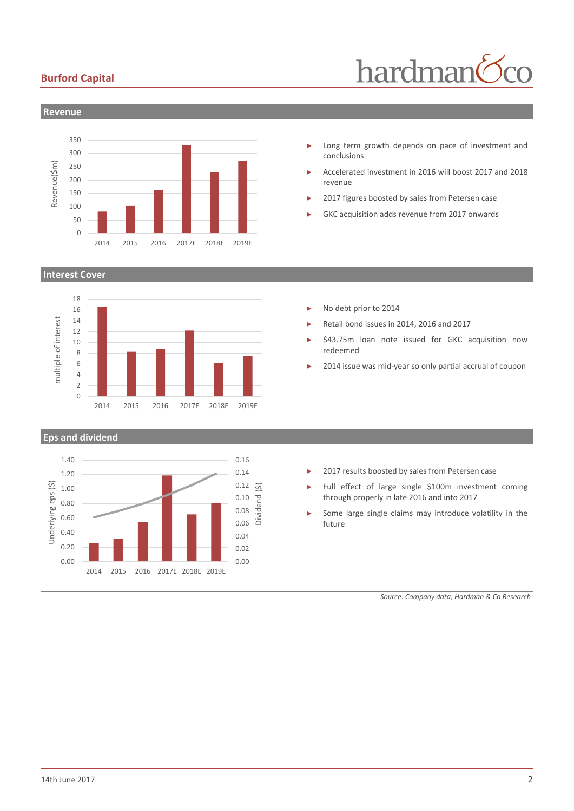## **Burford Capital**





#### **Interest Cover**



#### **Eps and dividend**



- Long term growth depends on pace of investment and conclusions
- ► Accelerated investment in 2016 will boost 2017 and 2018 revenue
- 2017 figures boosted by sales from Petersen case
- GKC acquisition adds revenue from 2017 onwards

- No debt prior to 2014
- ► Retail bond issues in 2014, 2016 and 2017
- \$43.75m loan note issued for GKC acquisition now redeemed
- 2014 issue was mid-year so only partial accrual of coupon

- 2017 results boosted by sales from Petersen case
- Full effect of large single \$100m investment coming through properly in late 2016 and into 2017
- Some large single claims may introduce volatility in the future

*Source: Company data; Hardman & Co Research*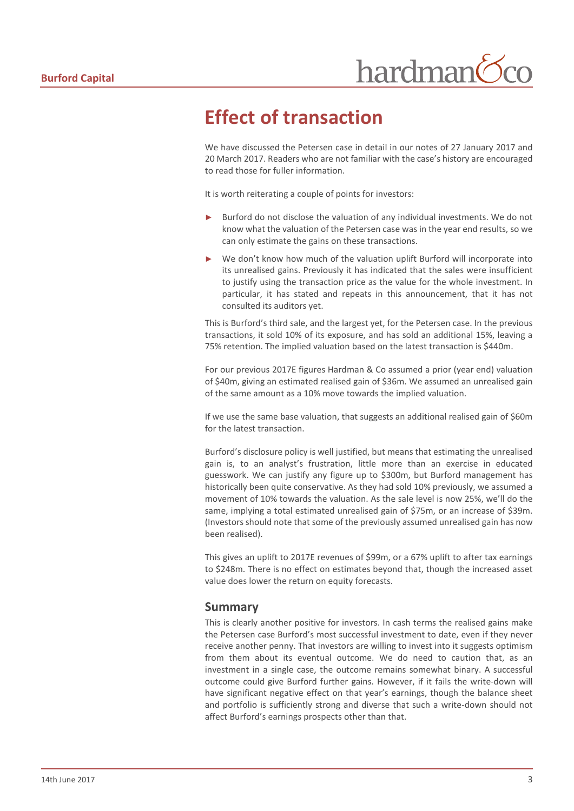## **Effect of transaction**

We have discussed the Petersen case in detail in our notes of 27 January 2017 and 20 March 2017. Readers who are not familiar with the case's history are encouraged to read those for fuller information.

It is worth reiterating a couple of points for investors:

- Burford do not disclose the valuation of any individual investments. We do not know what the valuation of the Petersen case was in the year end results, so we can only estimate the gains on these transactions.
- We don't know how much of the valuation uplift Burford will incorporate into its unrealised gains. Previously it has indicated that the sales were insufficient to justify using the transaction price as the value for the whole investment. In particular, it has stated and repeats in this announcement, that it has not consulted its auditors yet.

This is Burford's third sale, and the largest yet, for the Petersen case. In the previous transactions, it sold 10% of its exposure, and has sold an additional 15%, leaving a 75% retention. The implied valuation based on the latest transaction is \$440m.

For our previous 2017E figures Hardman & Co assumed a prior (year end) valuation of \$40m, giving an estimated realised gain of \$36m. We assumed an unrealised gain of the same amount as a 10% move towards the implied valuation.

If we use the same base valuation, that suggests an additional realised gain of \$60m for the latest transaction.

Burford's disclosure policy is well justified, but means that estimating the unrealised gain is, to an analyst's frustration, little more than an exercise in educated guesswork. We can justify any figure up to \$300m, but Burford management has historically been quite conservative. As they had sold 10% previously, we assumed a movement of 10% towards the valuation. As the sale level is now 25%, we'll do the same, implying a total estimated unrealised gain of \$75m, or an increase of \$39m. (Investors should note that some of the previously assumed unrealised gain has now been realised).

This gives an uplift to 2017E revenues of \$99m, or a 67% uplift to after tax earnings to \$248m. There is no effect on estimates beyond that, though the increased asset value does lower the return on equity forecasts.

### **Summary**

This is clearly another positive for investors. In cash terms the realised gains make the Petersen case Burford's most successful investment to date, even if they never receive another penny. That investors are willing to invest into it suggests optimism from them about its eventual outcome. We do need to caution that, as an investment in a single case, the outcome remains somewhat binary. A successful outcome could give Burford further gains. However, if it fails the write-down will have significant negative effect on that year's earnings, though the balance sheet and portfolio is sufficiently strong and diverse that such a write-down should not affect Burford's earnings prospects other than that.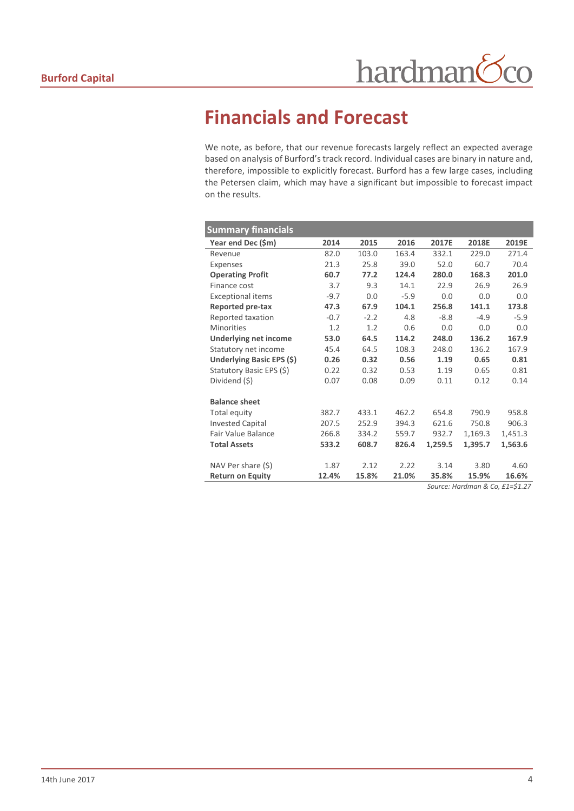## **Financials and Forecast**

We note, as before, that our revenue forecasts largely reflect an expected average based on analysis of Burford's track record. Individual cases are binary in nature and, therefore, impossible to explicitly forecast. Burford has a few large cases, including the Petersen claim, which may have a significant but impossible to forecast impact on the results.

| <b>Summary financials</b>    |        |        |        |         |         |                            |
|------------------------------|--------|--------|--------|---------|---------|----------------------------|
| Year end Dec (\$m)           | 2014   | 2015   | 2016   | 2017E   | 2018E   | 2019E                      |
| Revenue                      | 82.0   | 103.0  | 163.4  | 332.1   | 229.0   | 271.4                      |
| Expenses                     | 21.3   | 25.8   | 39.0   | 52.0    | 60.7    | 70.4                       |
| <b>Operating Profit</b>      | 60.7   | 77.2   | 124.4  | 280.0   | 168.3   | 201.0                      |
| Finance cost                 | 3.7    | 9.3    | 14.1   | 22.9    | 26.9    | 26.9                       |
| <b>Exceptional items</b>     | $-9.7$ | 0.0    | $-5.9$ | 0.0     | 0.0     | 0.0                        |
| Reported pre-tax             | 47.3   | 67.9   | 104.1  | 256.8   | 141.1   | 173.8                      |
| Reported taxation            | $-0.7$ | $-2.2$ | 4.8    | $-8.8$  | $-4.9$  | $-5.9$                     |
| <b>Minorities</b>            | 1.2    | 1.2    | 0.6    | 0.0     | 0.0     | 0.0                        |
| <b>Underlying net income</b> | 53.0   | 64.5   | 114.2  | 248.0   | 136.2   | 167.9                      |
| Statutory net income         | 45.4   | 64.5   | 108.3  | 248.0   | 136.2   | 167.9                      |
| Underlying Basic EPS (\$)    | 0.26   | 0.32   | 0.56   | 1.19    | 0.65    | 0.81                       |
| Statutory Basic EPS (\$)     | 0.22   | 0.32   | 0.53   | 1.19    | 0.65    | 0.81                       |
| Dividend (\$)                | 0.07   | 0.08   | 0.09   | 0.11    | 0.12    | 0.14                       |
|                              |        |        |        |         |         |                            |
| <b>Balance sheet</b>         |        |        |        |         |         |                            |
| Total equity                 | 382.7  | 433.1  | 462.2  | 654.8   | 790.9   | 958.8                      |
| <b>Invested Capital</b>      | 207.5  | 252.9  | 394.3  | 621.6   | 750.8   | 906.3                      |
| <b>Fair Value Balance</b>    | 266.8  | 334.2  | 559.7  | 932.7   | 1,169.3 | 1,451.3                    |
| <b>Total Assets</b>          | 533.2  | 608.7  | 826.4  | 1,259.5 | 1,395.7 | 1,563.6                    |
|                              |        |        |        |         |         |                            |
| NAV Per share (\$)           | 1.87   | 2.12   | 2.22   | 3.14    | 3.80    | 4.60                       |
| <b>Return on Equity</b>      | 12.4%  | 15.8%  | 21.0%  | 35.8%   | 15.9%   | 16.6%<br>$C_A$ $A_A$ $D_B$ |

*Source: Hardman & Co, £1=\$1.27*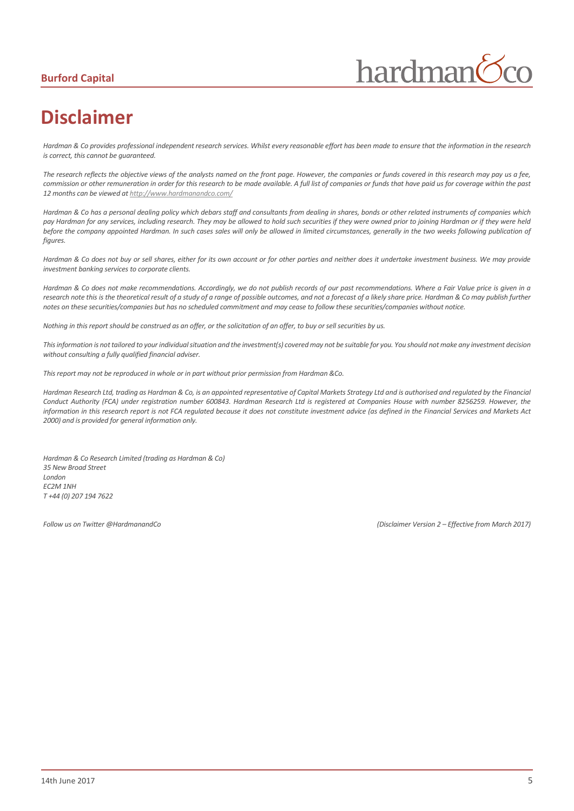## **Burford Capital**



## **Disclaimer**

*Hardman & Co provides professional independent research services. Whilst every reasonable effort has been made to ensure that the information in the research is correct, this cannot be guaranteed.*

*The research reflects the objective views of the analysts named on the front page. However, the companies or funds covered in this research may pay us a fee, commission or other remuneration in order for this research to be made available. A full list of companies or funds that have paid us for coverage within the past 12 months can be viewed a[t http://www.hardmanandco.com/](http://www.hardmanandco.com/)*

*Hardman & Co has a personal dealing policy which debars staff and consultants from dealing in shares, bonds or other related instruments of companies which pay Hardman for any services, including research. They may be allowed to hold such securities if they were owned prior to joining Hardman or if they were held before the company appointed Hardman. In such cases sales will only be allowed in limited circumstances, generally in the two weeks following publication of figures.* 

Hardman & Co does not buy or sell shares, either for its own account or for other parties and neither does it undertake investment business. We may provide *investment banking services to corporate clients.* 

*Hardman & Co does not make recommendations. Accordingly, we do not publish records of our past recommendations. Where a Fair Value price is given in a*  research note this is the theoretical result of a study of a range of possible outcomes, and not a forecast of a likely share price. Hardman & Co may publish further *notes on these securities/companies but has no scheduled commitment and may cease to follow these securities/companies without notice.*

*Nothing in this report should be construed as an offer, or the solicitation of an offer, to buy or sell securities by us.*

*This information is not tailored to your individual situation and the investment(s) covered may not be suitable for you. You should not make any investment decision without consulting a fully qualified financial adviser.*

*This report may not be reproduced in whole or in part without prior permission from Hardman &Co.*

*Hardman Research Ltd, trading as Hardman & Co, is an appointed representative of Capital Markets Strategy Ltd and is authorised and regulated by the Financial Conduct Authority (FCA) under registration number 600843. Hardman Research Ltd is registered at Companies House with number 8256259. However, the information in this research report is not FCA regulated because it does not constitute investment advice (as defined in the Financial Services and Markets Act 2000) and is provided for general information only.*

*Hardman & Co Research Limited (trading as Hardman & Co) 35 New Broad Street London EC2M 1NH T +44 (0) 207 194 7622*

*Follow us on Twitter @HardmanandCo (Disclaimer Version 2 – Effective from March 2017)*